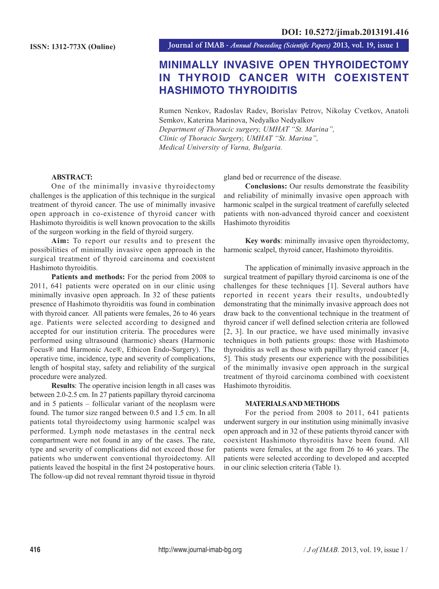**Journal of IMAB** *- Annual Proceeding (Scientific Papers)* **2013, vol. 19, issue 1**

# **MINIMALLY INVASIVE OPEN THYROIDECTOMY IN THYROID CANCER WITH COEXISTENT HASHIMOTO THYROIDITIS**

Rumen Nenkov, Radoslav Radev, Borislav Petrov, Nikolay Cvetkov, Anatoli Semkov, Katerina Marinova, Nedyalko Nedyalkov *Department of Thoracic surgery, UMHAT "St. Marina", Clinic of Thoracic Surgery, UMHAT "St. Marina",*

*Medical University of Varna, Bulgaria.*

### **ABSTRACT:**

One of the minimally invasive thyroidectomy challenges is the application of this technique in the surgical treatment of thyroid cancer. The use of minimally invasive open approach in co-existence of thyroid cancer with Hashimoto thyroiditis is well known provocation to the skills of the surgeon working in the field of thyroid surgery.

**Aim:** To report our results and to present the possibilities of minimally invasive open approach in the surgical treatment of thyroid carcinoma and coexistent Hashimoto thyroiditis.

Patients and methods: For the period from 2008 to 2011, 641 patients were operated on in our clinic using minimally invasive open approach. In 32 of these patients presence of Hashimoto thyroiditis was found in combination with thyroid cancer. All patients were females, 26 to 46 years age. Patients were selected according to designed and accepted for our institution criteria. The procedures were performed using ultrasound (harmonic) shears (Harmonic Focus® and Harmonic Ace®, Ethicon Endo-Surgery). The operative time, incidence, type and severity of complications, length of hospital stay, safety and reliability of the surgical procedure were analyzed.

**Results**: The operative incision length in all cases was between 2.0-2.5 cm. In 27 patients papillary thyroid carcinoma and in 5 patients – follicular variant of the neoplasm were found. The tumor size ranged between 0.5 and 1.5 cm. In all patients total thyroidectomy using harmonic scalpel was performed. Lymph node metastases in the central neck compartment were not found in any of the cases. The rate, type and severity of complications did not exceed those for patients who underwent conventional thyroidectomy. All patients leaved the hospital in the first 24 postoperative hours. The follow-up did not reveal remnant thyroid tissue in thyroid gland bed or recurrence of the disease.

**Conclusions:** Our results demonstrate the feasibility and reliability of minimally invasive open approach with harmonic scalpel in the surgical treatment of carefully selected patients with non-advanced thyroid cancer and coexistent Hashimoto thyroiditis

**Key words**: minimally invasive open thyroidectomy, harmonic scalpel, thyroid cancer, Hashimoto thyroiditis.

The application of minimally invasive approach in the surgical treatment of papillary thyroid carcinoma is one of the challenges for these techniques [1]. Several authors have reported in recent years their results, undoubtedly demonstrating that the minimally invasive approach does not draw back to the conventional technique in the treatment of thyroid cancer if well defined selection criteria are followed [2, 3]. In our practice, we have used minimally invasive techniques in both patients groups: those with Hashimoto thyroiditis as well as those with papillary thyroid cancer [4, 5]. This study presents our experience with the possibilities of the minimally invasive open approach in the surgical treatment of thyroid carcinoma combined with coexistent Hashimoto thyroiditis.

#### **MATERIALS AND METHODS**

For the period from 2008 to 2011, 641 patients underwent surgery in our institution using minimally invasive open approach and in 32 of these patients thyroid cancer with coexistent Hashimoto thyroiditis have been found. All patients were females, at the age from 26 to 46 years. The patients were selected according to developed and accepted in our clinic selection criteria (Table 1).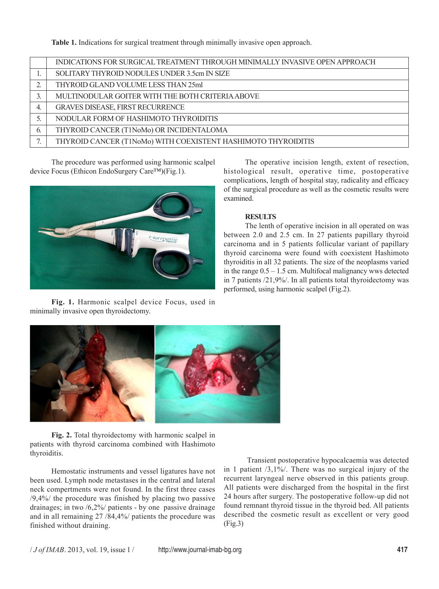**Table 1.** Indications for surgical treatment through minimally invasive open approach.

|    | INDICATIONS FOR SURGICAL TREATMENT THROUGH MINIMALLY INVASIVE OPEN APPROACH |
|----|-----------------------------------------------------------------------------|
|    | SOLITARY THYROID NODULES UNDER 3.5cm IN SIZE                                |
|    | THYROID GLAND VOLUME LESS THAN 25ml                                         |
|    | MULTINODULAR GOITER WITH THE BOTH CRITERIA ABOVE                            |
| 4. | GRAVES DISEASE, FIRST RECURRENCE                                            |
|    | NODULAR FORM OF HASHIMOTO THYROIDITIS                                       |
| b. | THYROID CANCER (T1NoMo) OR INCIDENTALOMA                                    |
|    | THYROID CANCER (T1NoMo) WITH COEXISTENT HASHIMOTO THYROIDITIS               |

The procedure was performed using harmonic scalpel device Focus (Ethicon EndoSurgery Care™)(Fig.1).



**Fig. 1.** Harmonic scalpel device Focus, used in minimally invasive open thyroidectomy.

The operative incision length, extent of resection, histological result, operative time, postoperative complications, length of hospital stay, radicality and efficacy of the surgical procedure as well as the cosmetic results were examined.

### **RESULTS**

The lenth of operative incision in all operated on was between 2.0 and 2.5 cm. In 27 patients papillary thyroid carcinoma and in 5 patients follicular variant of papillary thyroid carcinoma were found with coexistent Hashimoto thyroiditis in all 32 patients. The size of the neoplasms varied in the range  $0.5 - 1.5$  cm. Multifocal malignancy wws detected in 7 patients /21,9%/. In all patients total thyroidectomy was performed, using harmonic scalpel (Fig.2).



**Fig. 2.** Total thyroidectomy with harmonic scalpel in patients with thyroid carcinoma combined with Hashimoto thyroiditis.

Hemostatic instruments and vessel ligatures have not been used. Lymph node metastases in the central and lateral neck compertments were not found. In the first three cases /9,4%/ the procedure was finished by placing two passive drainages; in two /6,2%/ patients - by one passive drainage and in all remaining 27 /84,4%/ patients the procedure was finished without draining.

 Transient postoperative hypocalcaemia was detected in 1 patient /3,1%/. There was no surgical injury of the recurrent laryngeal nerve observed in this patients group. All patients were discharged from the hospital in the first 24 hours after surgery. The postoperative follow-up did not found remnant thyroid tissue in the thyroid bed. All patients described the cosmetic result as excellent or very good (Fig.3)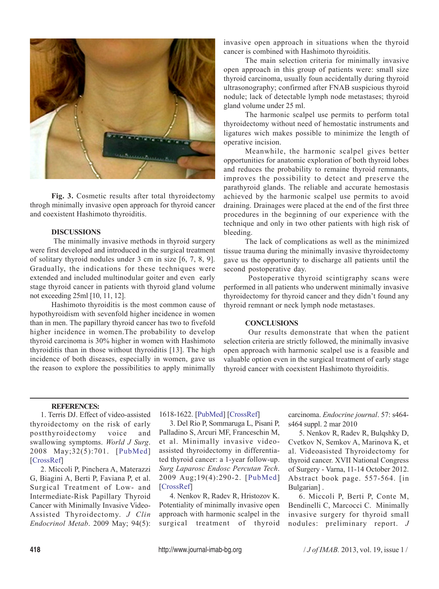

**Fig. 3.** Cosmetic results after total thyroidectomy throgh minimally invasive open approach for thyroid cancer and coexistent Hashimoto thyroiditis.

### **DISCUSSIONS**

 The minimally invasive methods in thyroid surgery were first developed and introduced in the surgical treatment of solitary thyroid nodules under 3 cm in size [6, 7, 8, 9]. Gradually, the indications for these techniques were extended and included multinodular goiter and even early stage thyroid cancer in patients with thyroid gland volume not exceeding 25ml [10, 11, 12].

Hashimoto thyroiditis is the most common cause of hypothyroidism with sevenfold higher incidence in women than in men. The papillary thyroid cancer has two to fivefold higher incidence in women.The probability to develop thyroid carcinoma is 30% higher in women with Hashimoto thyroiditis than in those without thyroiditis [13]. The high incidence of both diseases, especially in women, gave us the reason to explore the possibilities to apply minimally invasive open approach in situations when the thyroid cancer is combined with Hashimoto thyroiditis.

The main selection criteria for minimally invasive open approach in this group of patients were: small size thyroid carcinoma, usually foun accidentally during thyroid ultrasonography; confirmed after FNAB suspicious thyroid nodule; lack of detectable lymph node metastases; thyroid gland volume under 25 ml.

The harmonic scalpel use permits to perform total thyroidectomy without need of hemostatic instruments and ligatures wich makes possible to minimize the length of operative incision.

Meanwhile, the harmonic scalpel gives better opportunities for anatomic exploration of both thyroid lobes and reduces the probability to remaine thyroid remnants, improves the possibility to detect and preserve the parathyroid glands. The reliable and accurate hemostasis achieved by the harmonic scalpel use permits to avoid draining. Drainages were placed at the end of the first three procedures in the beginning of our experience with the technique and only in two other patients with high risk of bleeding.

The lack of complications as well as the minimized tissue trauma during the minimally invasive thyroidectomy gave us the opportunity to discharge all patients until the second postoperative day.

 Postoperative thyroid scintigraphy scans were performed in all patients who underwent minimally invasive thyroidectomy for thyroid cancer and they didn't found any thyroid remnant or neck lymph node metastases.

### **CONCLUSIONS**

 Our results demonstrate that when the patient selection criteria are strictly followed, the minimally invasive open approach with harmonic scalpel use is a feasible and valuable option even in the surgical treatment of early stage thyroid cancer with coexistent Hashimoto thyroiditis.

#### **REFERENCES:**

1. Terris DJ. Effect of video-assisted thyroidectomy on the risk of early postthyroidectomy voice and swallowing symptoms. *World J Surg*. 2008 May;32(5):701. [PubMed] [CrossRef]

2. Miccoli P, Pinchera A, Materazzi G, Biagini A, Berti P, Faviana P, et al. Surgical Treatment of Low- and Intermediate-Risk Papillary Thyroid Cancer with Minimally Invasive Video-Assisted Thyroidectomy. *J Clin Endocrinol Metab*. 2009 May; 94(5): 1618-1622. [PubMed] [CrossRef]

3. Del Rio P, Sommaruga L, Pisani P, Palladino S, Arcuri MF, Franceschin M, et al. Minimally invasive videoassisted thyroidectomy in differentiated thyroid cancer: a 1-year follow-up. *Surg Laparosc Endosc Percutan Tech*. 2009 Aug;19(4):290-2. [PubMed] [CrossRef]

4. Nenkov R, Radev R, Hristozov K. Potentiality of minimally invasive open approach with harmonic scalpel in the surgical treatment of thyroid carcinoma. *Endocrine journal*. 57: s464 s464 suppl. 2 mar 2010

5. Nenkov R, Radev R, Bulqshky D, Cvetkov N, Semkov A, Marinova K, et al. Videoasisted Thyroidectomy for thyroid cancer. XVII National Congress of Surgery - Varna, 11-14 October 2012. Abstract book page. 557-564. [in Bulgarian] .

6. Miccoli P, Berti P, Conte M, Bendinelli C, Marcocci C. Minimally invasive surgery for thyroid small nodules: preliminary report. *J*